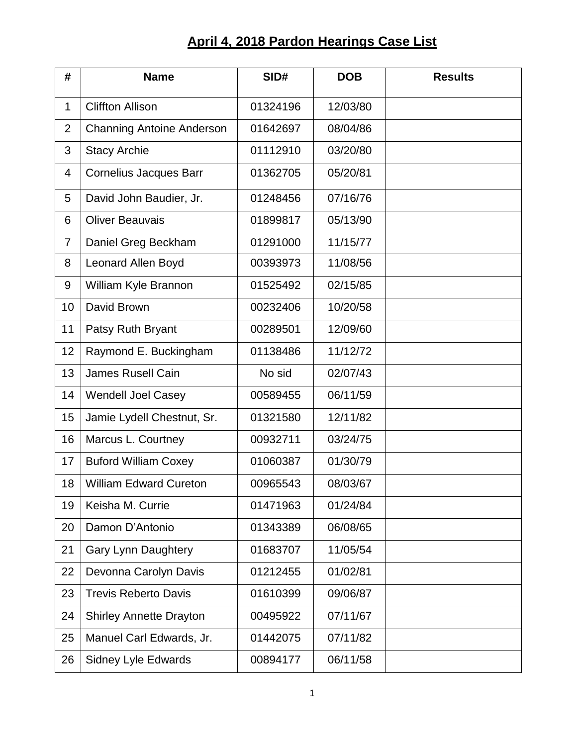## **April 4, 2018 Pardon Hearings Case List**

| #              | <b>Name</b>                      | SID#     | <b>DOB</b> | <b>Results</b> |
|----------------|----------------------------------|----------|------------|----------------|
| $\mathbf 1$    | <b>Cliffton Allison</b>          | 01324196 | 12/03/80   |                |
| $\overline{2}$ | <b>Channing Antoine Anderson</b> | 01642697 | 08/04/86   |                |
| 3              | <b>Stacy Archie</b>              | 01112910 | 03/20/80   |                |
| 4              | <b>Cornelius Jacques Barr</b>    | 01362705 | 05/20/81   |                |
| 5              | David John Baudier, Jr.          | 01248456 | 07/16/76   |                |
| 6              | <b>Oliver Beauvais</b>           | 01899817 | 05/13/90   |                |
| $\overline{7}$ | Daniel Greg Beckham              | 01291000 | 11/15/77   |                |
| 8              | Leonard Allen Boyd               | 00393973 | 11/08/56   |                |
| 9              | William Kyle Brannon             | 01525492 | 02/15/85   |                |
| 10             | David Brown                      | 00232406 | 10/20/58   |                |
| 11             | Patsy Ruth Bryant                | 00289501 | 12/09/60   |                |
| 12             | Raymond E. Buckingham            | 01138486 | 11/12/72   |                |
| 13             | <b>James Rusell Cain</b>         | No sid   | 02/07/43   |                |
| 14             | <b>Wendell Joel Casey</b>        | 00589455 | 06/11/59   |                |
| 15             | Jamie Lydell Chestnut, Sr.       | 01321580 | 12/11/82   |                |
| 16             | Marcus L. Courtney               | 00932711 | 03/24/75   |                |
| 17             | <b>Buford William Coxey</b>      | 01060387 | 01/30/79   |                |
| 18             | <b>William Edward Cureton</b>    | 00965543 | 08/03/67   |                |
| 19             | Keisha M. Currie                 | 01471963 | 01/24/84   |                |
| 20             | Damon D'Antonio                  | 01343389 | 06/08/65   |                |
| 21             | <b>Gary Lynn Daughtery</b>       | 01683707 | 11/05/54   |                |
| 22             | Devonna Carolyn Davis            | 01212455 | 01/02/81   |                |
| 23             | <b>Trevis Reberto Davis</b>      | 01610399 | 09/06/87   |                |
| 24             | <b>Shirley Annette Drayton</b>   | 00495922 | 07/11/67   |                |
| 25             | Manuel Carl Edwards, Jr.         | 01442075 | 07/11/82   |                |
| 26             | <b>Sidney Lyle Edwards</b>       | 00894177 | 06/11/58   |                |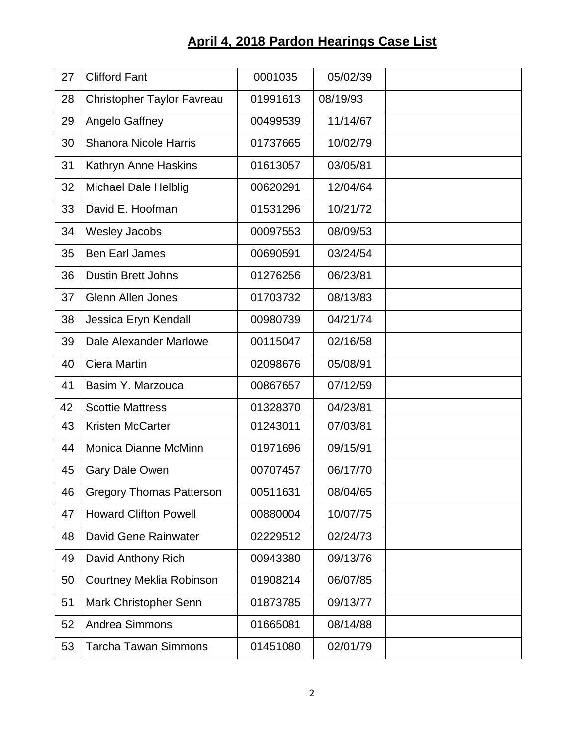## **April 4, 2018 Pardon Hearings Case List**

| 27 | <b>Clifford Fant</b>              | 0001035  | 05/02/39 |  |
|----|-----------------------------------|----------|----------|--|
| 28 | <b>Christopher Taylor Favreau</b> | 01991613 | 08/19/93 |  |
| 29 | Angelo Gaffney                    | 00499539 | 11/14/67 |  |
| 30 | <b>Shanora Nicole Harris</b>      | 01737665 | 10/02/79 |  |
| 31 | Kathryn Anne Haskins              | 01613057 | 03/05/81 |  |
| 32 | <b>Michael Dale Helblig</b>       | 00620291 | 12/04/64 |  |
| 33 | David E. Hoofman                  | 01531296 | 10/21/72 |  |
| 34 | <b>Wesley Jacobs</b>              | 00097553 | 08/09/53 |  |
| 35 | <b>Ben Earl James</b>             | 00690591 | 03/24/54 |  |
| 36 | <b>Dustin Brett Johns</b>         | 01276256 | 06/23/81 |  |
| 37 | <b>Glenn Allen Jones</b>          | 01703732 | 08/13/83 |  |
| 38 | Jessica Eryn Kendall              | 00980739 | 04/21/74 |  |
| 39 | Dale Alexander Marlowe            | 00115047 | 02/16/58 |  |
| 40 | Ciera Martin                      | 02098676 | 05/08/91 |  |
| 41 | Basim Y. Marzouca                 | 00867657 | 07/12/59 |  |
| 42 | <b>Scottie Mattress</b>           | 01328370 | 04/23/81 |  |
| 43 | <b>Kristen McCarter</b>           | 01243011 | 07/03/81 |  |
| 44 | Monica Dianne McMinn              | 01971696 | 09/15/91 |  |
| 45 | <b>Gary Dale Owen</b>             | 00707457 | 06/17/70 |  |
| 46 | <b>Gregory Thomas Patterson</b>   | 00511631 | 08/04/65 |  |
| 47 | <b>Howard Clifton Powell</b>      | 00880004 | 10/07/75 |  |
| 48 | David Gene Rainwater              | 02229512 | 02/24/73 |  |
| 49 | David Anthony Rich                | 00943380 | 09/13/76 |  |
| 50 | <b>Courtney Meklia Robinson</b>   | 01908214 | 06/07/85 |  |
| 51 | Mark Christopher Senn             | 01873785 | 09/13/77 |  |
| 52 | <b>Andrea Simmons</b>             | 01665081 | 08/14/88 |  |
| 53 | <b>Tarcha Tawan Simmons</b>       | 01451080 | 02/01/79 |  |